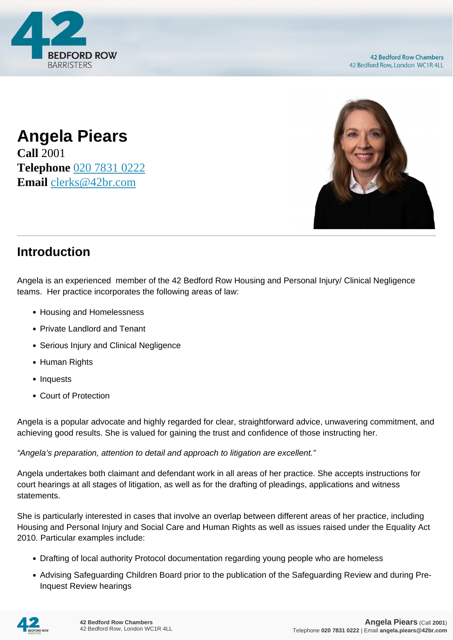

**42 Bedford Row Chambers** 42 Bedford Row, London WC1R 4LL





## **Introduction**

Angela is an experienced member of the 42 Bedford Row Housing and Personal Injury/ Clinical Negligence teams. Her practice incorporates the following areas of law:

- Housing and Homelessness
- Private Landlord and Tenant
- Serious Injury and Clinical Negligence
- Human Rights
- Inquests
- Court of Protection

Angela is a popular advocate and highly regarded for clear, straightforward advice, unwavering commitment, and achieving good results. She is valued for gaining the trust and confidence of those instructing her.

"Angela's preparation, attention to detail and approach to litigation are excellent."

Angela undertakes both claimant and defendant work in all areas of her practice. She accepts instructions for court hearings at all stages of litigation, as well as for the drafting of pleadings, applications and witness statements.

She is particularly interested in cases that involve an overlap between different areas of her practice, including Housing and Personal Injury and Social Care and Human Rights as well as issues raised under the Equality Act 2010. Particular examples include:

- Drafting of local authority Protocol documentation regarding young people who are homeless
- Advising Safeguarding Children Board prior to the publication of the Safeguarding Review and during Pre-Inquest Review hearings